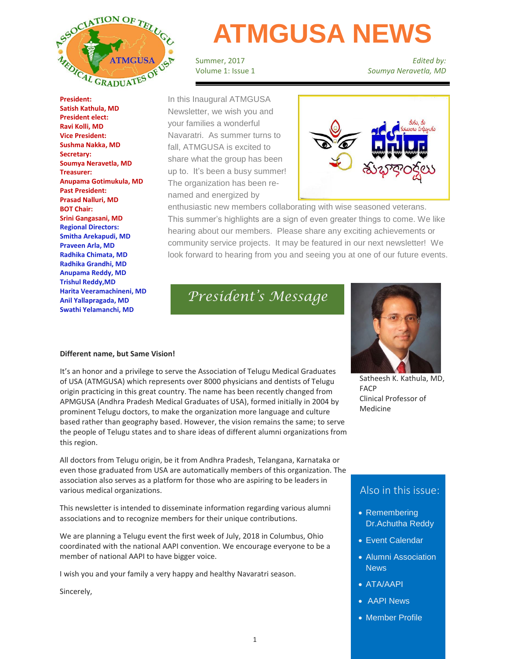

**President: Satish Kathula, MD President elect: Ravi Kolli, MD Vice President: Sushma Nakka, MD Secretary: Soumya Neravetla, MD Treasurer: Anupama Gotimukula, MD Past President: Prasad Nalluri, MD BOT Chair: Srini Gangasani, MD Regional Directors: Smitha Arekapudi, MD Praveen Arla, MD Radhika Chimata, MD Radhika Grandhi, MD Anupama Reddy, MD Trishul Reddy,MD Harita Veeramachineni, MD Anil Yallapragada, MD Swathi Yelamanchi, MD**

# **ATMGUSA NEWS**

Summer, 2017 Volume 1: Issue 1

*Edited by: Soumya Neravetla, MD*

In this Inaugural ATMGUSA Newsletter, we wish you and your families a wonderful Navaratri. As summer turns to fall, ATMGUSA is excited to share what the group has been up to. It's been a busy summer! The organization has been renamed and energized by



enthusiastic new members collaborating with wise seasoned veterans. This summer's highlights are a sign of even greater things to come. We like hearing about our members. Please share any exciting achievements or community service projects. It may be featured in our next newsletter! We look forward to hearing from you and seeing you at one of our future events.

*President's Message*



### **Different name, but Same Vision!**

It's an honor and a privilege to serve the Association of Telugu Medical Graduates of USA (ATMGUSA) which represents over 8000 physicians and dentists of Telugu origin practicing in this great country. The name has been recently changed from APMGUSA (Andhra Pradesh Medical Graduates of USA), formed initially in 2004 by prominent Telugu doctors, to make the organization more language and culture based rather than geography based. However, the vision remains the same; to serve the people of Telugu states and to share ideas of different alumni organizations from this region.

All doctors from Telugu origin, be it from Andhra Pradesh, Telangana, Karnataka or even those graduated from USA are automatically members of this organization. The association also serves as a platform for those who are aspiring to be leaders in various medical organizations.

This newsletter is intended to disseminate information regarding various alumni associations and to recognize members for their unique contributions.

We are planning a Telugu event the first week of July, 2018 in Columbus, Ohio coordinated with the national AAPI convention. We encourage everyone to be a member of national AAPI to have bigger voice.

I wish you and your family a very happy and healthy Navaratri season.

Sincerely,

Satheesh K. Kathula, MD, FACP Clinical Professor of Medicine

### Also in this issue:

- Remembering Dr.Achutha Reddy
- Event Calendar
- Alumni Association News
- ATA/AAPI
- AAPI News
- Member Profile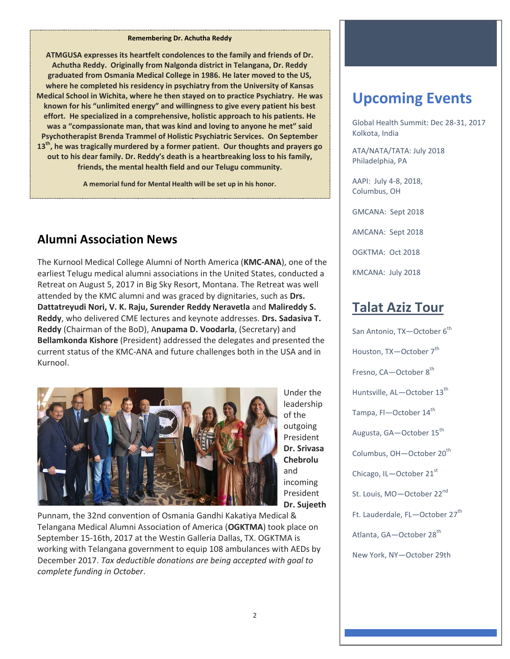#### **Remembering Dr. Achutha Reddy**

**ATMGUSA expresses its heartfelt condolences to the family and friends of Dr. Achutha Reddy. Originally from Nalgonda district in Telangana, Dr. Reddy graduated from Osmania Medical College in 1986. He later moved to the US, where he completed his residency in psychiatry from the University of Kansas Medical School in Wichita, where he then stayed on to practice Psychiatry. He was known for his "unlimited energy" and willingness to give every patient his best effort. He specialized in a comprehensive, holistic approach to his patients. He was a "compassionate man, that was kind and loving to anyone he met" said Psychotherapist Brenda Trammel of Holistic Psychiatric Services. On September 13th, he was tragically murdered by a former patient. Our thoughts and prayers go out to his dear family. Dr. Reddy's death is a heartbreaking loss to his family, friends, the mental health field and our Telugu community.**

**A memorial fund for Mental Health will be set up in his honor.**

# **Alumni Association News**

The Kurnool Medical College Alumni of North America (**KMC-ANA**), one of the earliest Telugu medical alumni associations in the United States, conducted a Retreat on August 5, 2017 in Big Sky Resort, Montana. The Retreat was well attended by the KMC alumni and was graced by dignitaries, such as **Drs. Dattatreyudi Nori, V. K. Raju, Surender Reddy Neravetla** and **Malireddy S. Reddy**, who delivered CME lectures and keynote addresses. **Drs. Sadasiva T. Reddy** (Chairman of the BoD), A**nupama D. Voodarla**, (Secretary) and **Bellamkonda Kishore** (President) addressed the delegates and presented the current status of the KMC-ANA and future challenges both in the USA and in Kurnool.



Under the leadership of the outgoing President **Dr. Srivasa Chebrolu**  and incoming President **Dr. Sujeeth** 

Punnam, the 32nd convention of Osmania Gandhi Kakatiya Medical & Telangana Medical Alumni Association of America (**OGKTMA**) took place on September 15-16th, 2017 at the Westin Galleria Dallas, TX. OGKTMA is working with Telangana government to equip 108 ambulances with AEDs by December 2017. *Tax deductible donations are being accepted with goal to complete funding in October*.

# **Upcoming Events**

Global Health Summit: Dec 28-31, 2017 Kolkota, India

ATA/NATA/TATA: July 2018 Philadelphia, PA

AAPI: July 4-8, 2018, Columbus, OH

GMCANA: Sept 2018

AMCANA: Sept 2018

OGKTMA: Oct 2018

KMCANA: July 2018

# **Talat Aziz Tour**

San Antonio, TX-October 6<sup>th</sup> Houston, TX-October 7<sup>th</sup> Fresno, CA-October 8<sup>th</sup> Huntsville, AL-October 13<sup>th</sup> Tampa, Fl-October 14<sup>th</sup> Augusta, GA-October 15<sup>th</sup> Columbus, OH-October 20<sup>th</sup> Chicago, IL—October 21<sup>st</sup> St. Louis, MO-October 22<sup>nd</sup> Ft. Lauderdale, FL-October 27<sup>th</sup> Atlanta, GA-October 28<sup>th</sup>

New York, NY—October 29th